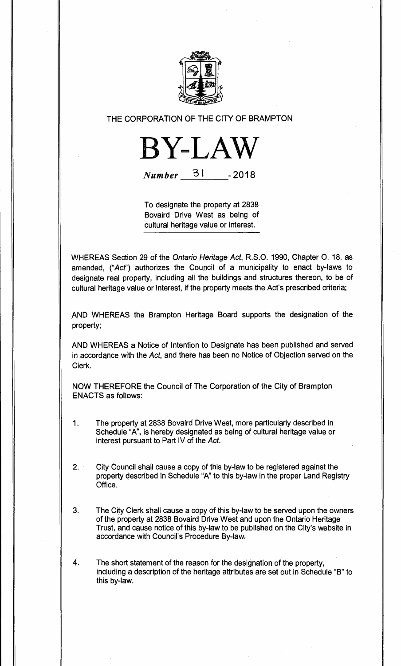

# THE CORPORATION OF THE CITY OF BRAMPTON



**Number 31 - 2018** 

To designate the property at 2838 Bovaird Drive West as being of cultural heritage value or interest.

WHEREAS Section 29 of the Ontario Heritage Act, R.S.O. 1990, Chapter 0. 18, as amended, ("Act") authorizes the Council of a municipality to enact by-laws to designate real property, including all the buildings and structures thereon, to be of cultural heritage value or interest, if the property meets the Act's prescribed criteria;

AND WHEREAS the Brampton Heritage Board supports the designation of the property;

AND WHEREAS a Notice of Intention to Designate has been published and served in accordance with the Act, and there has been no Notice of Objection served on the Clerk.

NOW THEREFORE the Council of The Corporation of the City of Brampton ENACTS as follows:

- 1. The property at 2838 Bovaird Drive West, more particularly described in Schedule "A", is hereby designated as being of cultural heritage value or interest pursuant to Part IV of the Act.
- 2. City Council shall cause a copy of this by-law to be registered against the property described in Schedule "A" to this by-law in the proper Land Registry Office.
- 3. The City Clerk shall cause a copy of this by-law to be served upon the owners of the property at 2838 Bovaird Drive West and upon the Ontario Heritage Trust, and cause notice of this by-law to be published on the City's website in accordance with Council's Procedure By-law.

 $\overline{4}$ . The short statement of the reason for the designation of the property, including a description of the heritage attributes are set out in Schedule "B" to this by-law.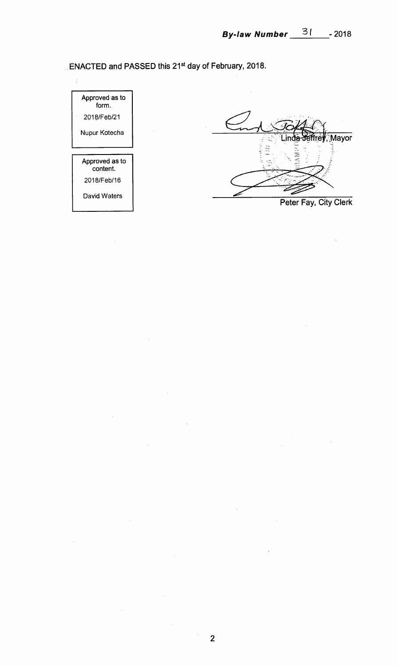**ENACTED and PASSED this 21st day of February, 2018.** 

Approved as to form. 2018/Feb/21 Nupur Kotecha Approved as to content. 2018/Feb/16 David Waters

 $\mathbf{r}$ 

 $\sim$ 

Mayor **E**  $1.141$ ينذ

 $\frac{1}{2}$ 

**Peter Fay, City Clerk** 

 $\hat{\mathcal{L}}$ 

 $\bar{\beta}$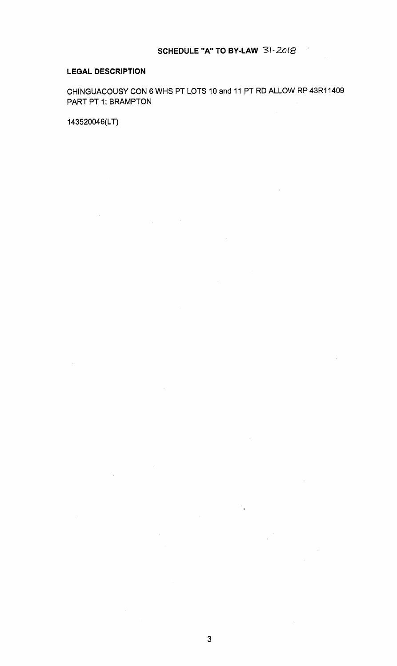l.

# **LEGAL DESCRIPTION**

CHINGUACOUSY CON 6 WHS PT LOTS 10 and 11 PT RD ALLOW RP 43R11409 PART PT 1; BRAMPTON

 $\bar{z}$ 

 $\mathcal{L}_{\mathcal{A}}$ 

143520046(LT)

 $\mathcal{L}_{\mathcal{A}}$ 

 $\hat{\mathcal{A}}$ 

 $\hat{\mathcal{A}}$ 

 $\bar{z}$ 

÷.,

 $\hat{\mathcal{A}}$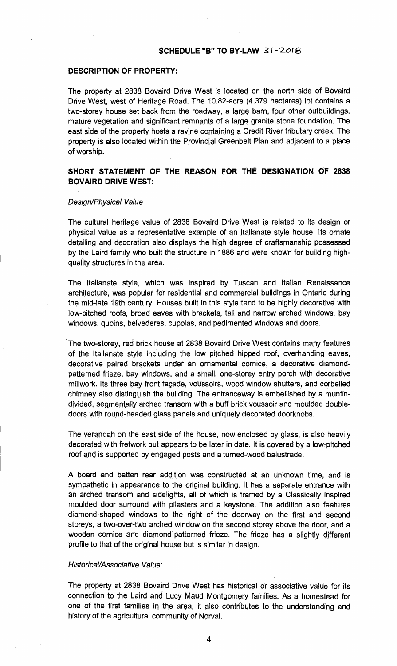### **SCHEDULE "B" TO BY-LAW 31-2018**

#### **DESCRIPTION OF PROPERTY:**

The property at 2838 Bovaird Drive West is located on the north side of Bovaird Drive West, west of Heritage Road. The 10.82-acre (4.379 hectares) lot contains a two-storey house set back from the roadway, a large barn, four other outbuildings, mature vegetation and significant remnants of a large granite stone foundation. The east side of the property hosts a ravine containing a Credit River tributary creek. The property is also located within the Provincial Greenbelt Plan and adjacent to a place of worship.

# **SHORT STATEMENT OF THE REASON FOR THE DESIGNATION OF 2838 BOVAIRD DRIVE WEST:**

#### Design/Physical Value

The cultural heritage value of 2838 Bovaird Drive West is related to its design or physical value as a representative example of an Italianate style house. Its ornate detailing and decoration also displays the high degree of craftsmanship possessed by the Laird family who built the structure in 1886 and were known for building highquality structures in the area.

The Italianate style, which was inspired by Tuscan and Italian Renaissance architecture, was popular for residential and commercial buildings in Ontario during the mid-late 19th century. Houses built in this style tend to be highly decorative with low-pitched roofs, broad eaves with brackets, tall and narrow arched windows, bay windows, quoins, belvederes, cupolas, and pedimented windows and doors.

The two-storey, red brick house at 2838 Bovaird Drive West contains many features of the Italianate style including the low pitched hipped roof, overhanding eaves, decorative paired brackets under an ornamental cornice, a decorative diamondpatterned frieze, bay windows, and a small, one-storey entry porch with decorative millwork. Its three bay front façade, voussoirs, wood window shutters, and corbelled chimney also distinguish the building. The entranceway is embellished by a muntindivided, segmentally arched transom with a buff brick voussoir and moulded doubledoors with round-headed glass panels and uniquely decorated doorknobs.

The verandah on the east side of the house, now enclosed by glass, is also heavily decorated with fretwork but appears to be later in date. It is covered by a low-pitched roof and is supported by engaged posts and a turned-wood balustrade.

A board and batten rear addition was constructed at an unknown time, and is sympathetic in appearance to the original building. It has a separate entrance with an arched transom and sidelights, all of which is framed by a Classically inspired moulded door surround with pilasters and a keystone. The addition also features diamond-shaped windows to the right of the doorway on the first and second storeys, a two-over-two arched window on the second storey above the door, and a wooden cornice and diamond-patterned frieze. The frieze has a slightly different profile to that of the original house but is similar in design.

### Historical/Associative Value:

The property at 2838 Bovaird Drive West has historical or associative value for its connection to the Laird and Lucy Maud Montgomery families. As a homestead for one of the first families in the area, it also contributes to the understanding and history of the agricultural community of Norval.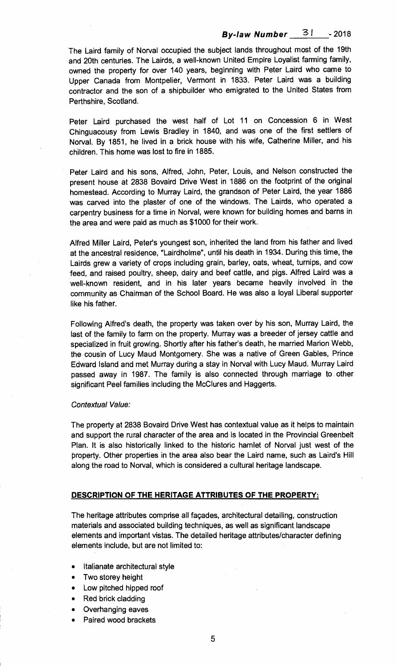# **By-law Number**  $\frac{3!}{1}$  - 2018

**The Laird family of Norval occupied the subject lands throughout most of the 19th and 20th centuries. The Lairds, a well-known United Empire Loyalist farming family, owned the property for over 140 years, beginning with Peter Laird who came to Upper Canada from Montpelier, Vermont in 1833. Peter Laird was a building contractor and the son of a shipbuilder who emigrated to the United States from Perthshire, Scotland.** 

**Peter Laird purchased the west half of Lot 11 on Concession 6 in West Chinguacousy from Lewis Bradley in 1840, and was one of the first settlers of Norval. By 1851, he lived in a brick house with his wife, Catherine Miller, and his children. This home was lost to fire in 1885.** 

**Peter Laird and his sons, Alfred, John, Peter, Louis, and Nelson constructed the present house at 2838 Bovaird Drive West in 1886 on the footprint of the original homestead. According to Murray Laird, the grandson of Peter Laird, the year 1886 was carved into the plaster of one of the windows. The Lairds, who operated a carpentry business for a time in Norval, were known for building homes and barns in the area and were paid as much as \$1000 for their work.** 

**Alfred Miller Laird, Peter's youngest son, inherited the land from his father and lived at the ancestral residence, "Lairdholme", until his death in 1934. During this time, the Lairds grew a variety of crops including grain, barley, oats, wheat, turnips, and cow feed, and raised poultry, sheep, dairy and beef cattle, and pigs. Alfred Laird was a well-known resident, and in his later years became heavily involved in the community as Chairman of the School Board. He was also a loyal Liberal supporter like his father.** 

**Following Alfred's death, the property was taken over by his son, Murray Laird, the last of the family to farm on the property. Murray was a breeder of jersey cattle and specialized in fruit growing. Shortly after his father's death, he married Marion Webb, the cousin of Lucy Maud Montgomery. She was a native of Green Gables, Prince Edward Island and met Murray during a stay in Norval with Lucy Maud. Murray Laird passed away in 1987. The family is also connected through marriage to other significant Peel families including the McClures and Haggerts.** 

## Contextual Value:

**The property at 2838 Bovaird Drive West has contextual value as it helps to maintain and support the rural character of the area and is located in the Provincial Greenbelt Plan. It is also historically linked to the historic hamlet of Norval just west of the property. Other properties in the area also bear the Laird name, such as Laird's Hill along the road to Norval, which is considered a cultural heritage landscape.** 

## **DESCRIPTION OF THE HERITAGE ATTRIBUTES OF THE PROPERTY:**

**The heritage attributes comprise all façades, architectural detailing, construction materials and associated building techniques, as well as significant landscape elements and important vistas. The detailed heritage attributes/character defining elements include, but are not limited to:** 

- **Italianate architectural style**
- **Two storey height**
- **Low pitched hipped roof**
- **Red brick cladding**
- **Overhanging eaves**
- **Paired wood brackets**